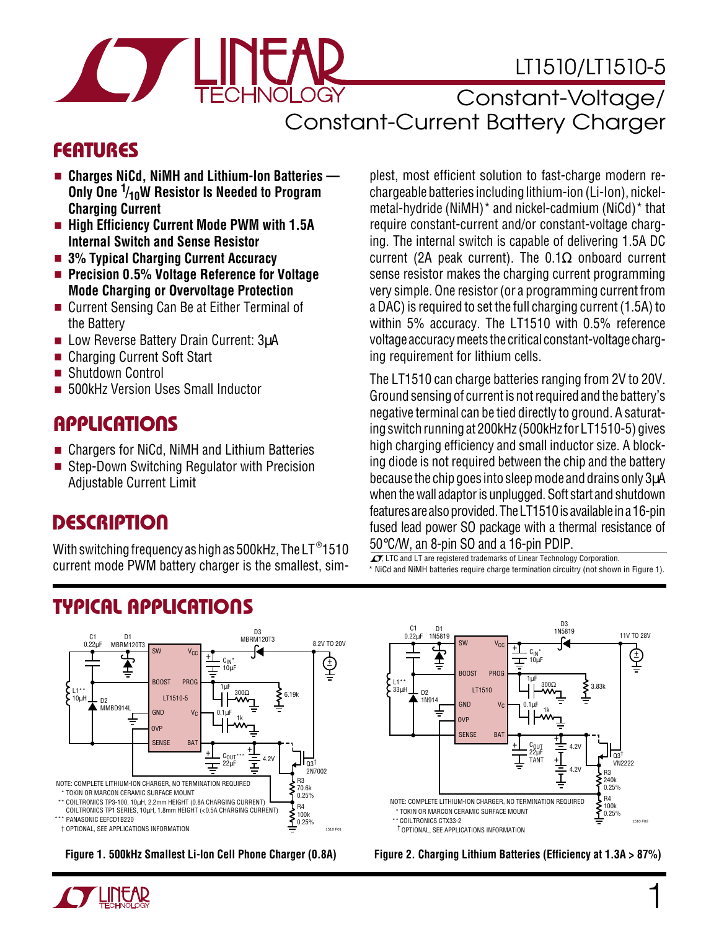# LT1510/LT1510-5

Constant-Voltage/ Constant-Current Battery Charger

### **FEATURES**

- **Charges NiCd, NiMH and Lithium-Ion Batteries** –– **Only One 1 /10W Resistor Is Needed to Program Charging Current**
- **High Efficiency Current Mode PWM with 1.5A Internal Switch and Sense Resistor**
- **3% Typical Charging Current Accuracy**
- **Precision 0.5% Voltage Reference for Voltage Mode Charging or Overvoltage Protection**
- Current Sensing Can Be at Either Terminal of the Battery
- Low Reverse Battery Drain Current: 3uA
- Charging Current Soft Start
- Shutdown Control
- 500kHz Version Uses Small Inductor

#### **APPLICATIONS**  $\overline{\phantom{0}}$

- Chargers for NiCd, NiMH and Lithium Batteries
- Step-Down Switching Regulator with Precision Adjustable Current Limit

### **DESCRIPTION U**

With switching frequency as high as 500kHz, The LT  $^\circ$ 1510 current mode PWM battery charger is the smallest, simplest, most efficient solution to fast-charge modern rechargeable batteries including lithium-ion (Li-Ion), nickelmetal-hydride (NiMH)\* and nickel-cadmium (NiCd)\* that require constant-current and/or constant-voltage charging. The internal switch is capable of delivering 1.5A DC current (2A peak current). The  $0.1\Omega$  onboard current sense resistor makes the charging current programming very simple. One resistor (or a programming current from a DAC) is required to set the full charging current (1.5A) to within 5% accuracy. The LT1510 with 0.5% reference voltage accuracy meets the critical constant-voltage charging requirement for lithium cells.

The LT1510 can charge batteries ranging from 2V to 20V. Ground sensing of current is not required and the battery's negative terminal can be tied directly to ground. A saturating switch running at 200kHz (500kHz for LT1510-5) gives high charging efficiency and small inductor size. A blocking diode is not required between the chip and the battery because the chip goes into sleep mode and drains only 3µA when the wall adaptor is unplugged. Soft start and shutdown features are also provided. The LT1510 is available in a 16-pin fused lead power SO package with a thermal resistance of 50°C/W, an 8-pin SO and a 16-pin PDIP.

\* NiCd and NiMH batteries require charge termination circuitry (not shown in Figure 1).  $\sqrt{J}$ , LTC and LT are registered trademarks of Linear Technology Corporation.

# **TYPICAL APPLICATIONS U**



**Figure 1. 500kHz Smallest Li-Ion Cell Phone Charger (0.8A)**





**Figure 2. Charging Lithium Batteries (Efficiency at 1.3A > 87%)**

1

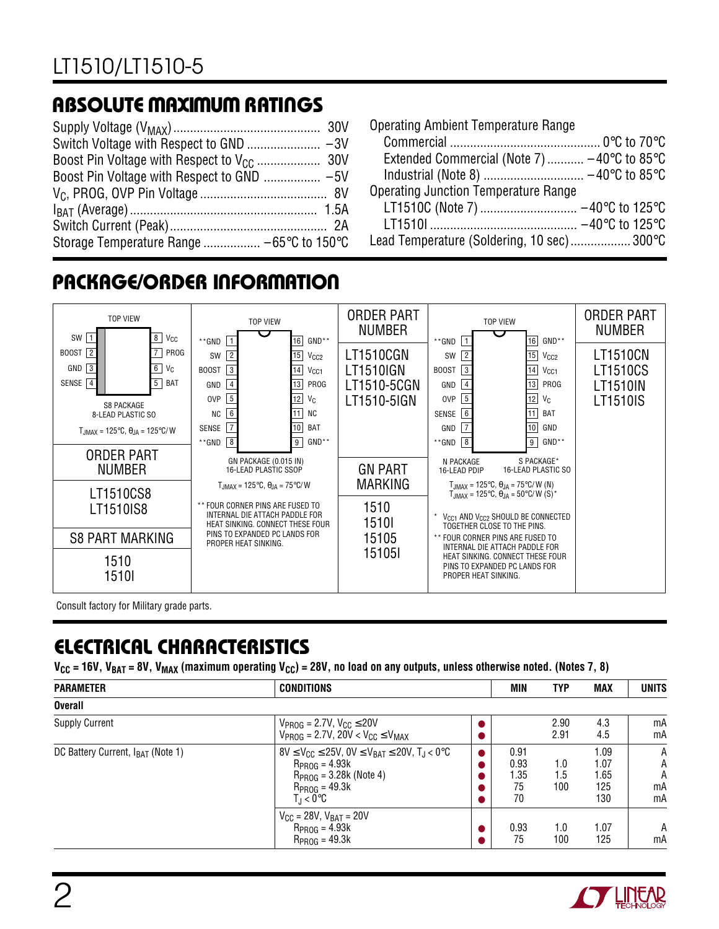### **ABSOLUTE MAXIMUM RATINGS W W W U**

| Storage Temperature Range  -65°C to 150°C |  |
|-------------------------------------------|--|

| <b>Operating Ambient Temperature Range</b>                      |  |
|-----------------------------------------------------------------|--|
|                                                                 |  |
| Extended Commercial (Note 7) $-40^{\circ}$ C to 85 $^{\circ}$ C |  |
|                                                                 |  |
| <b>Operating Junction Temperature Range</b>                     |  |
|                                                                 |  |
|                                                                 |  |
| Lead Temperature (Soldering, 10 sec) 300°C                      |  |
|                                                                 |  |

# **PACKAGE/ORDER INFORMATION**



Consult factory for Military grade parts.

## **ELECTRICAL CHARACTERISTICS**

 $V_{CC}$  = 16V, V<sub>BAT</sub> = 8V, V<sub>MAX</sub> (maximum operating V<sub>CC</sub>) = 28V, no load on any outputs, unless otherwise noted. (Notes 7, 8)

| <b>PARAMETER</b>                              | <b>CONDITIONS</b>                                                                                                                                                         |                        | <b>MIN</b>                       | <b>TYP</b>        | <b>MAX</b>                         | <b>UNITS</b>            |
|-----------------------------------------------|---------------------------------------------------------------------------------------------------------------------------------------------------------------------------|------------------------|----------------------------------|-------------------|------------------------------------|-------------------------|
| <b>Overall</b>                                |                                                                                                                                                                           |                        |                                  |                   |                                    |                         |
| <b>Supply Current</b>                         | $V_{PROG} = 2.7V, V_{CC} \le 20V$<br>$V_{PROG} = 2.7V$ , $20V < V_{CC} \leq V_{MAX}$                                                                                      | $\bullet$              |                                  | 2.90<br>2.91      | 4.3<br>4.5                         | mA<br>mA                |
| DC Battery Current, I <sub>BAT</sub> (Note 1) | $8V \le V_{CC} \le 25V$ , $0V \le V_{BAT} \le 20V$ , $T_{J} < 0^{\circ}C$<br>$R_{PROG} = 4.93k$<br>$R_{PROG} = 3.28k$ (Note 4)<br>$R_{PROG} = 49.3k$<br>$T_{\rm d}$ < 0°C | $\bullet$<br>$\bullet$ | 0.91<br>0.93<br>1.35<br>75<br>70 | 1.0<br>1.5<br>100 | 1.09<br>1.07<br>1.65<br>125<br>130 | Α<br>Α<br>A<br>mA<br>mA |
|                                               | $V_{CC} = 28V, V_{BAT} = 20V$<br>$R_{PROG} = 4.93k$<br>$RPROG = 49.3k$                                                                                                    | $\bullet$<br>●         | 0.93<br>75                       | 1.0<br>100        | 1.07<br>125                        | A<br>mA                 |

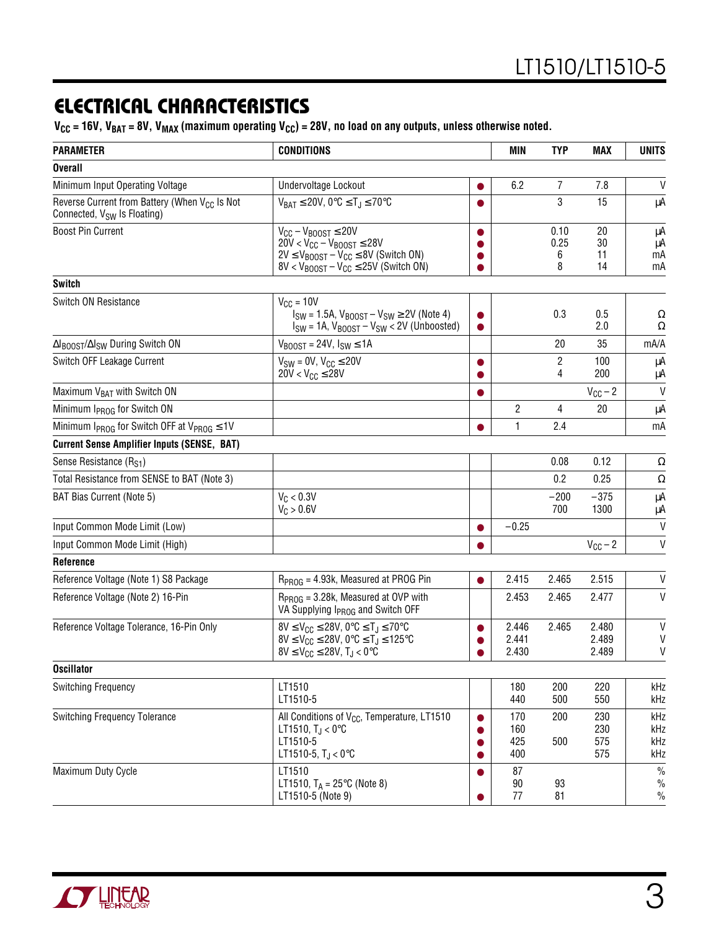### **ELECTRICAL CHARACTERISTICS**

 $V_{CC}$  = 16V, V<sub>BAT</sub> = 8V, V<sub>MAX</sub> (maximum operating V<sub>CC</sub>) = 28V, no load on any outputs, unless otherwise noted.

| <b>PARAMETER</b>                                                                                     | <b>CONDITIONS</b>                                                                                                                                                                                   |                        | MIN                      | <b>TYP</b>             | <b>MAX</b>               | <b>UNITS</b>                           |
|------------------------------------------------------------------------------------------------------|-----------------------------------------------------------------------------------------------------------------------------------------------------------------------------------------------------|------------------------|--------------------------|------------------------|--------------------------|----------------------------------------|
| <b>Overall</b>                                                                                       |                                                                                                                                                                                                     |                        |                          |                        |                          |                                        |
| Minimum Input Operating Voltage                                                                      | Undervoltage Lockout                                                                                                                                                                                | $\bullet$              | 6.2                      | $\overline{7}$         | 7.8                      | V                                      |
| Reverse Current from Battery (When V <sub>CC</sub> Is Not<br>Connected, V <sub>SW</sub> Is Floating) | $V_{BAT} \le 20V$ , 0°C $\le T_l \le 70$ °C                                                                                                                                                         |                        |                          | 3                      | 15                       | μA                                     |
| <b>Boost Pin Current</b>                                                                             | $V_{CC} - V_{BOOST} \le 20V$<br>$20V < V_{CC} - V_{BOOST} \le 28V$<br>$2V \leq V_{\text{BOOST}} - V_{\text{CC}} \leq 8V$ (Switch ON)<br>$8V < V_{\text{BOOST}} - V_{\text{CC}} \le 25V$ (Switch ON) | $\bullet$              |                          | 0.10<br>0.25<br>6<br>8 | 20<br>30<br>11<br>14     | μA<br>μA<br>mA<br>mA                   |
| <b>Switch</b>                                                                                        |                                                                                                                                                                                                     |                        |                          |                        |                          |                                        |
| Switch ON Resistance                                                                                 | $V_{CC} = 10V$<br>$I_{SW} = 1.5A$ , $V_{BOOST} - V_{SW} \ge 2V$ (Note 4)<br>$I_{SW}$ = 1A, $V_{BODST}$ – $V_{SW}$ < 2V (Unboosted)                                                                  | $\bullet$              |                          | 0.3                    | 0.5<br>2.0               | Ω<br>Ω                                 |
| $\Delta$ <sub>B00ST</sub> / $\Delta$ <sub>SW</sub> During Switch ON                                  | $V_{\text{BOOST}} = 24V, I_{\text{SW}} \le 1A$                                                                                                                                                      |                        |                          | 20                     | 35                       | mA/A                                   |
| Switch OFF Leakage Current                                                                           | $V_{SW} = 0V$ , $V_{CC} \le 20V$<br>$20V < V_{CC} \le 28V$                                                                                                                                          | $\bullet$<br>$\bullet$ |                          | $\overline{2}$<br>4    | 100<br>200               | μA<br>μA                               |
| Maximum V <sub>BAT</sub> with Switch ON                                                              |                                                                                                                                                                                                     |                        |                          |                        | $V_{CC}$ – 2             | V                                      |
| Minimum I <sub>PROG</sub> for Switch ON                                                              |                                                                                                                                                                                                     |                        | $\overline{c}$           | 4                      | 20                       | μA                                     |
| Minimum $I_{PROG}$ for Switch OFF at $V_{PROG} \leq 1V$                                              |                                                                                                                                                                                                     |                        | 1                        | 2.4                    |                          | mA                                     |
| <b>Current Sense Amplifier Inputs (SENSE, BAT)</b>                                                   |                                                                                                                                                                                                     |                        |                          |                        |                          |                                        |
| Sense Resistance (R <sub>S1</sub> )                                                                  |                                                                                                                                                                                                     |                        |                          | 0.08                   | 0.12                     | Ω                                      |
| Total Resistance from SENSE to BAT (Note 3)                                                          |                                                                                                                                                                                                     |                        |                          | 0.2                    | 0.25                     | Ω                                      |
| BAT Bias Current (Note 5)                                                                            | $V_C < 0.3V$<br>$V_C > 0.6V$                                                                                                                                                                        |                        |                          | $-200$<br>700          | $-375$<br>1300           | $\mu A$<br>μA                          |
| Input Common Mode Limit (Low)                                                                        |                                                                                                                                                                                                     | $\bullet$              | $-0.25$                  |                        |                          | $\mathsf{V}$                           |
| Input Common Mode Limit (High)                                                                       |                                                                                                                                                                                                     | $\bullet$              |                          |                        | $V_{CC}$ – 2             | $\mathsf{V}$                           |
| Reference                                                                                            |                                                                                                                                                                                                     |                        |                          |                        |                          |                                        |
| Reference Voltage (Note 1) S8 Package                                                                | $R_{PROG}$ = 4.93k, Measured at PROG Pin                                                                                                                                                            | $\bullet$              | 2.415                    | 2.465                  | 2.515                    | V                                      |
| Reference Voltage (Note 2) 16-Pin                                                                    | $R_{PROG}$ = 3.28k, Measured at OVP with<br>VA Supplying I <sub>PROG</sub> and Switch OFF                                                                                                           |                        | 2.453                    | 2.465                  | 2.477                    | V                                      |
| Reference Voltage Tolerance, 16-Pin Only                                                             | $8V \leq V_{CC} \leq 28V$ , 0°C $\leq T_J \leq 70$ °C<br>$8V \leq V_{CC} \leq 28V$ , 0°C $\leq T_J \leq 125$ °C<br>$8V \le V_{CC} \le 28V$ , T <sub>J</sub> < 0°C                                   |                        | 2.446<br>2.441<br>2.430  | 2.465                  | 2.480<br>2.489<br>2.489  | $\mathsf{V}$<br>V<br>V                 |
| <b>Oscillator</b>                                                                                    |                                                                                                                                                                                                     |                        |                          |                        |                          |                                        |
| Switching Frequency                                                                                  | LT1510<br>LT1510-5                                                                                                                                                                                  |                        | 180<br>440               | 200<br>500             | 220<br>550               | kHz<br>kHz                             |
| <b>Switching Frequency Tolerance</b>                                                                 | All Conditions of V <sub>CC</sub> , Temperature, LT1510<br>LT1510, $T_J < 0$ °C<br>LT1510-5<br>LT1510-5, $T_J < 0$ °C                                                                               | $\bullet$<br>$\bullet$ | 170<br>160<br>425<br>400 | 200<br>500             | 230<br>230<br>575<br>575 | kHz<br>kHz<br>kHz<br>kHz               |
| Maximum Duty Cycle                                                                                   | LT1510<br>LT1510, $T_A = 25^{\circ}C$ (Note 8)<br>LT1510-5 (Note 9)                                                                                                                                 | $\bullet$<br>$\bullet$ | 87<br>$90\,$<br>77       | 93<br>81               |                          | $\frac{0}{0}$<br>$\frac{0}{0}$<br>$\%$ |

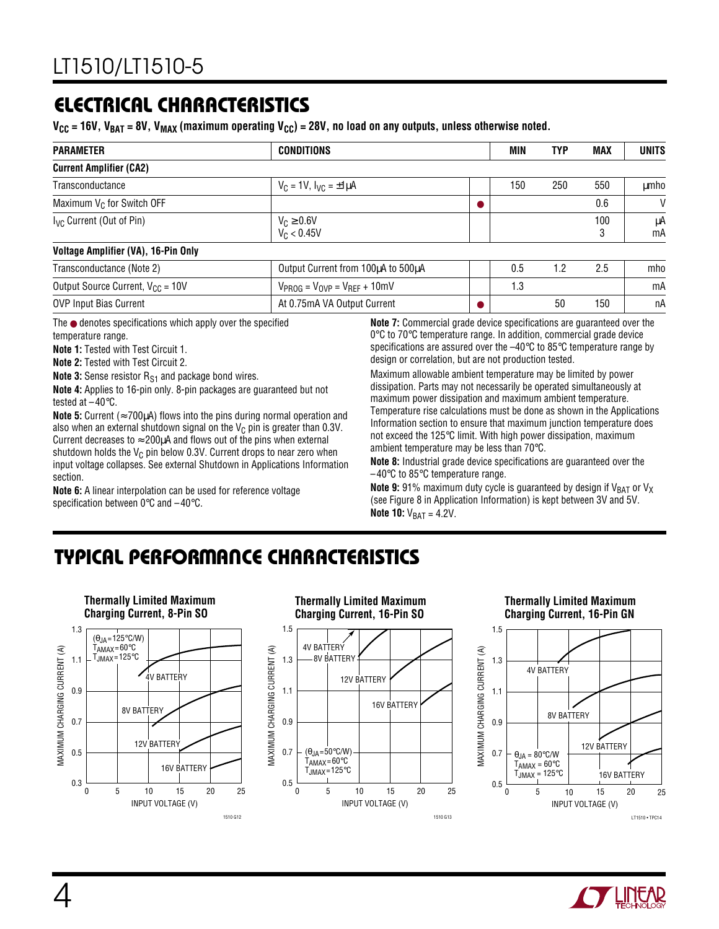### **ELECTRICAL CHARACTERISTICS**

 $V_{\text{CC}}$  = 16V, V<sub>BAT</sub> = 8V, V<sub>MAX</sub> (maximum operating V<sub>CC</sub>) = 28V, no load on any outputs, unless otherwise noted.

| <b>PARAMETER</b>                     | <b>CONDITIONS</b>                   | <b>MIN</b> | TYP | <b>MAX</b> | <b>UNITS</b> |
|--------------------------------------|-------------------------------------|------------|-----|------------|--------------|
| <b>Current Amplifier (CA2)</b>       |                                     |            |     |            |              |
| Transconductance                     | $V_C = 1V$ , $I_{VC} = \pm 1 \mu A$ | 150        | 250 | 550        | umho         |
| Maximum $V_C$ for Switch OFF         |                                     |            |     | 0.6        | $\mathsf{V}$ |
| I <sub>VC</sub> Current (Out of Pin) | $V_C \ge 0.6V$<br>$V_C < 0.45V$     |            |     | 100        | μA<br>mA     |
| Voltage Amplifier (VA), 16-Pin Only  |                                     |            |     |            |              |

| Transconductance (Note 2)             | Output Current from 100µA to 500µA    |      | $-$ |     | mho |
|---------------------------------------|---------------------------------------|------|-----|-----|-----|
| Output Source Current, $V_{CC}$ = 10V | $V_{PROG} = V_{OVP} = V_{REF} + 10mV$ | ں. ا |     |     | mA  |
| <b>OVP Input Bias Current</b>         | At 0.75mA VA Output Current           |      | 50  | 150 | nА  |

The ● denotes specifications which apply over the specified temperature range.

**Note 1:** Tested with Test Circuit 1.

**Note 2:** Tested with Test Circuit 2.

**Note 3:** Sense resistor R<sub>S1</sub> and package bond wires. **Note 4:** Applies to 16-pin only. 8-pin packages are guaranteed but not

tested at –40°C.

**Note 5:** Current ( $\approx$  700 $\mu$ A) flows into the pins during normal operation and also when an external shutdown signal on the  $V_C$  pin is greater than 0.3V. Current decreases to  $\approx$  200 $\mu$ A and flows out of the pins when external shutdown holds the  $V_C$  pin below 0.3V. Current drops to near zero when input voltage collapses. See external Shutdown in Applications Information section.

**Note 6:** A linear interpolation can be used for reference voltage specification between 0°C and –40°C.

**Note 7:** Commercial grade device specifications are guaranteed over the 0 °C to 70 °C temperature range. In addition, commercial grade device specifications are assured over the  $-40^{\circ}$ C to 85°C temperature range by design or correlation, but are not production tested.

Maximum allowable ambient temperature may be limited by power dissipation. Parts may not necessarily be operated simultaneously at maximum power dissipation and maximum ambient temperature. Temperature rise calculations must be done as shown in the Applications Information section to ensure that maximum junction temperature does not exceed the 125°C limit. With high power dissipation, maximum ambient temperature may be less than 70°C.

**Note 8:** Industrial grade device specifications are guaranteed over the –40°C to 85°C temperature range.

**Note 9:** 91% maximum duty cycle is guaranteed by design if V<sub>BAT</sub> or V<sub>X</sub> (see Figure 8 in Application Information) is kept between 3V and 5V. **Note 10:**  $V_{BAT} = 4.2V$ .

## **TYPICAL PERFORMANCE CHARACTERISTICS W U**



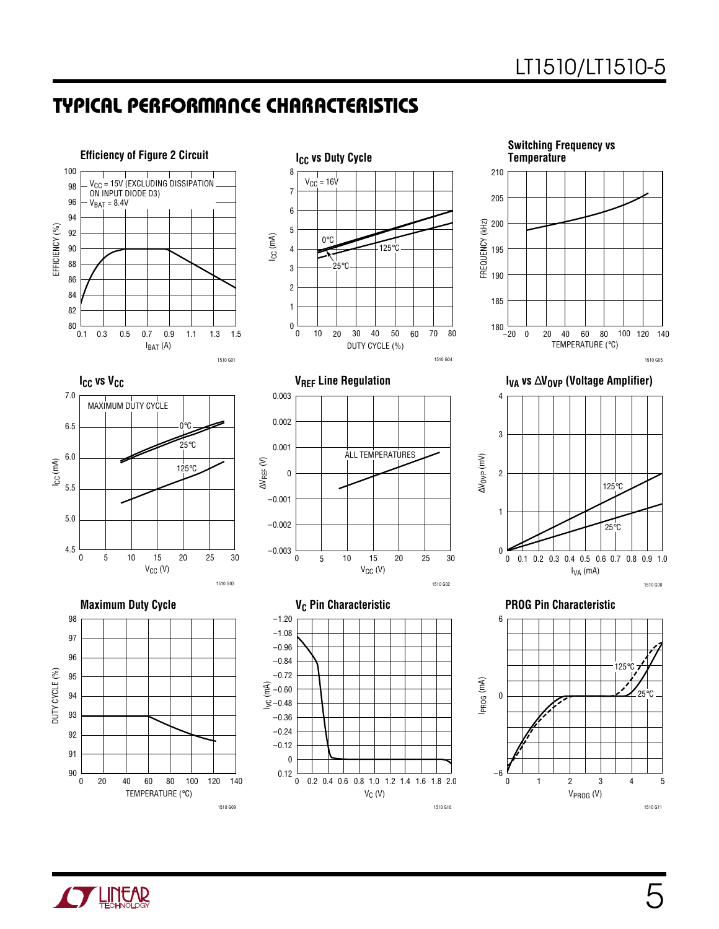### **TYPICAL PERFORMANCE CHARACTERISTICS W U**



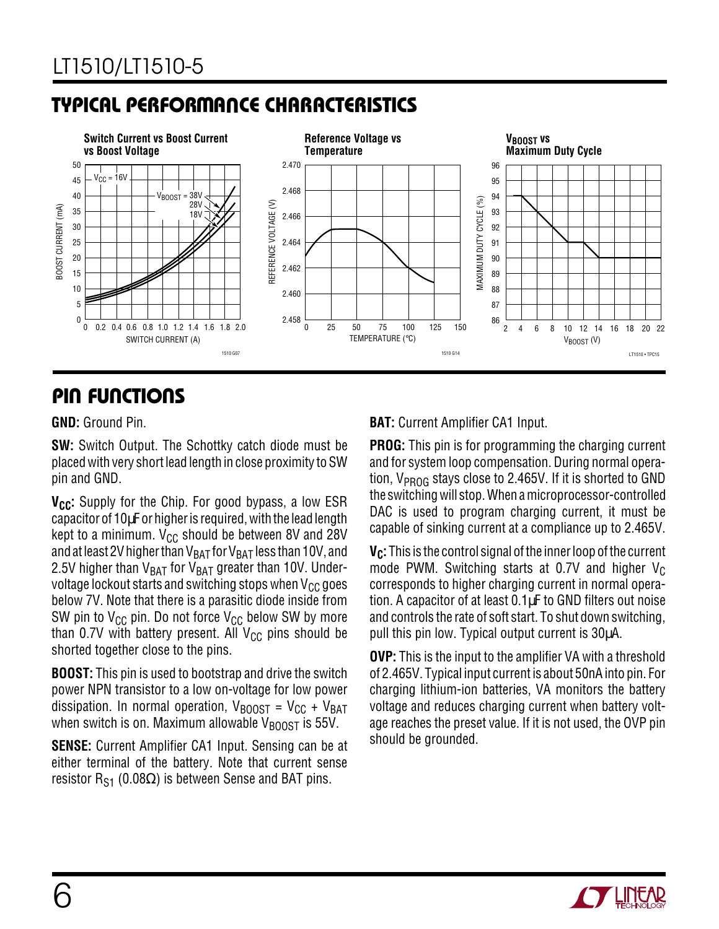## **TYPICAL PERFORMANCE CHARACTERISTICS W U**



### **PIN FUNCTIONS**

#### **GND:** Ground Pin.

**SW:** Switch Output. The Schottky catch diode must be placed with very short lead length in close proximity to SW pin and GND.

**V<sub>CC</sub>:** Supply for the Chip. For good bypass, a low ESR capacitor of 10µF or higher is required, with the lead length kept to a minimum.  $V_{CC}$  should be between 8V and 28V and at least 2V higher than  $V_{BAT}$  for  $V_{BAT}$  less than 10V, and 2.5V higher than  $V_{BAT}$  for  $V_{BAT}$  greater than 10V. Undervoltage lockout starts and switching stops when  $V_{CC}$  goes below 7V. Note that there is a parasitic diode inside from SW pin to  $V_{CC}$  pin. Do not force  $V_{CC}$  below SW by more than 0.7V with battery present. All  $V_{CC}$  pins should be shorted together close to the pins.

**BOOST:** This pin is used to bootstrap and drive the switch power NPN transistor to a low on-voltage for low power dissipation. In normal operation,  $V_{\text{BOOST}} = V_{\text{CC}} + V_{\text{BAT}}$ when switch is on. Maximum allowable  $V_{\text{BONST}}$  is 55V.

**SENSE:** Current Amplifier CA1 Input. Sensing can be at either terminal of the battery. Note that current sense resistor R<sub>S1</sub> (0.08 $\Omega$ ) is between Sense and BAT pins.

#### **BAT:** Current Amplifier CA1 Input.

**PROG:** This pin is for programming the charging current and for system loop compensation. During normal operation, V<sub>PROG</sub> stays close to 2.465V. If it is shorted to GND the switching will stop. When a microprocessor-controlled DAC is used to program charging current, it must be capable of sinking current at a compliance up to 2.465V.

**V<sub>C</sub>:** This is the control signal of the inner loop of the current mode PWM. Switching starts at 0.7V and higher  $V_C$ corresponds to higher charging current in normal operation. A capacitor of at least 0.1µF to GND filters out noise and controls the rate of soft start. To shut down switching, pull this pin low. Typical output current is 30µA.

**OVP:** This is the input to the amplifier VA with a threshold of 2.465V. Typical input current is about 50nA into pin. For charging lithium-ion batteries, VA monitors the battery voltage and reduces charging current when battery voltage reaches the preset value. If it is not used, the OVP pin should be grounded.

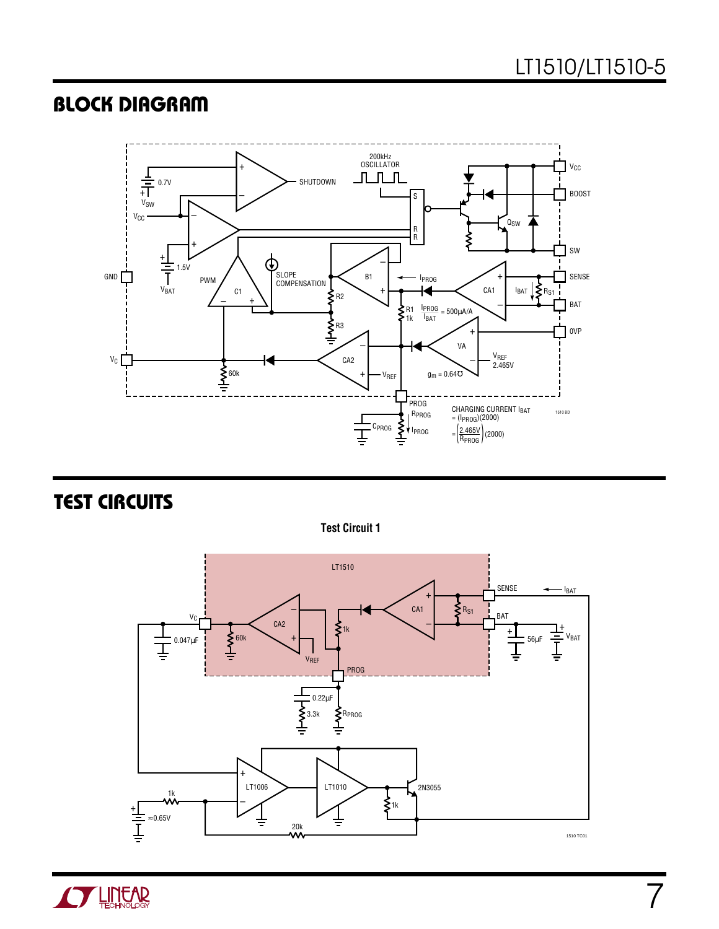### **BLOCK DIAGRAM**



**TEST CIRCUITS** 

**Test Circuit 1**



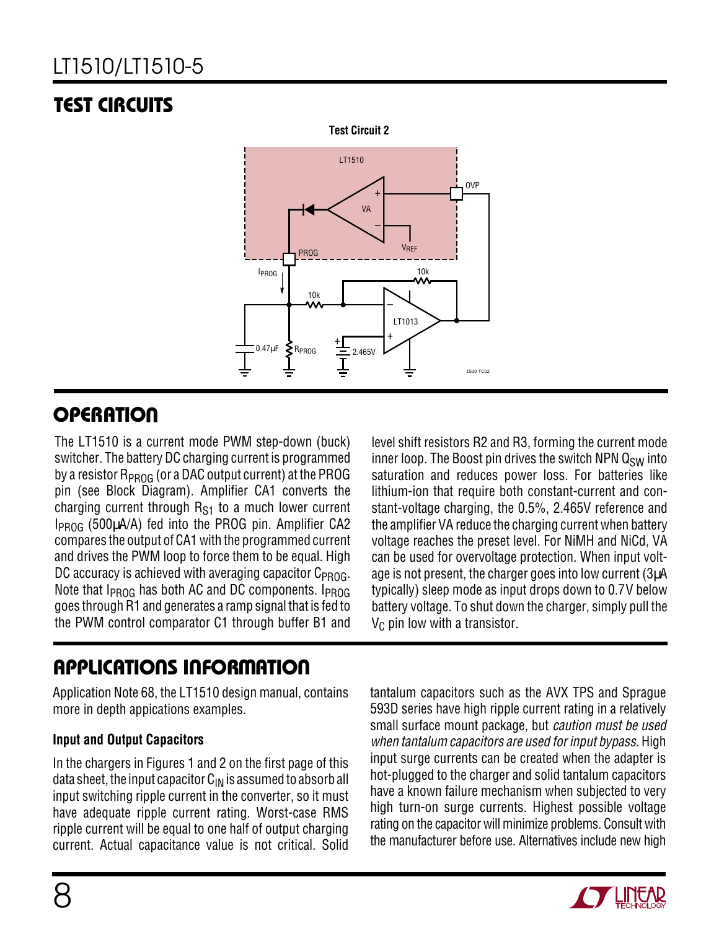# LT1510/LT1510-5

# **TEST CIRCUITS**



## **OPERATION**

The LT1510 is a current mode PWM step-down (buck) switcher. The battery DC charging current is programmed by a resistor  $R_{PROG}$  (or a DAC output current) at the PROG pin (see Block Diagram). Amplifier CA1 converts the charging current through  $R_{S1}$  to a much lower current IPROG (500µA/A) fed into the PROG pin. Amplifier CA2 compares the output of CA1 with the programmed current and drives the PWM loop to force them to be equal. High DC accuracy is achieved with averaging capacitor  $C_{PROG}$ . Note that  $I_{PROG}$  has both AC and DC components.  $I_{PROG}$ goes through R1 and generates a ramp signal that is fed to the PWM control comparator C1 through buffer B1 and

## **APPLICATIONS INFORMATION U W U U**

Application Note 68, the LT1510 design manual, contains more in depth appications examples.

#### **Input and Output Capacitors**

In the chargers in Figures 1 and 2 on the first page of this data sheet, the input capacitor  $C_{IN}$  is assumed to absorb all input switching ripple current in the converter, so it must have adequate ripple current rating. Worst-case RMS ripple current will be equal to one half of output charging current. Actual capacitance value is not critical. Solid level shift resistors R2 and R3, forming the current mode inner loop. The Boost pin drives the switch NPN  $Q_{SW}$  into saturation and reduces power loss. For batteries like lithium-ion that require both constant-current and constant-voltage charging, the 0.5%, 2.465V reference and the amplifier VA reduce the charging current when battery voltage reaches the preset level. For NiMH and NiCd, VA can be used for overvoltage protection. When input voltage is not present, the charger goes into low current (3µA typically) sleep mode as input drops down to 0.7V below battery voltage. To shut down the charger, simply pull the  $V<sub>C</sub>$  pin low with a transistor.

tantalum capacitors such as the AVX TPS and Sprague 593D series have high ripple current rating in a relatively small surface mount package, but caution must be used when tantalum capacitors are used for input bypass. High input surge currents can be created when the adapter is hot-plugged to the charger and solid tantalum capacitors have a known failure mechanism when subjected to very high turn-on surge currents. Highest possible voltage rating on the capacitor will minimize problems. Consult with the manufacturer before use. Alternatives include new high

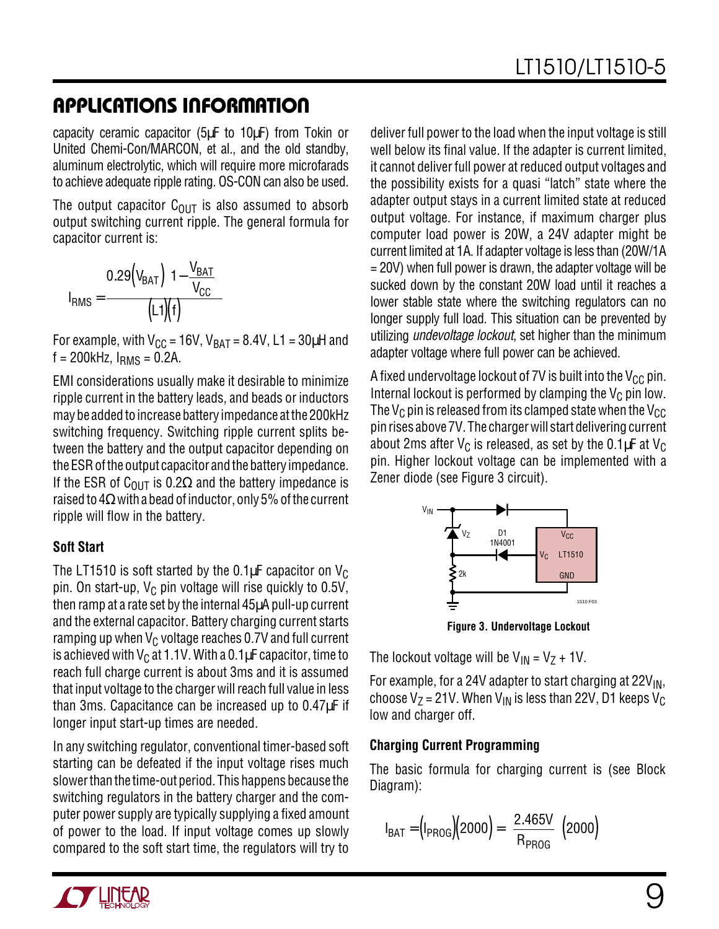capacity ceramic capacitor (5µF to 10µF) from Tokin or United Chemi-Con/MARCON, et al., and the old standby, aluminum electrolytic, which will require more microfarads to achieve adequate ripple rating. OS-CON can also be used.

The output capacitor  $C_{\text{OUT}}$  is also assumed to absorb output switching current ripple. The general formula for capacitor current is:

$$
I_{RMS} = \frac{0.29 \left(V_{BAT}\right) \left(1 - \frac{V_{BAT}}{V_{CC}}\right)}{\left(L1\right)\left(f\right)}
$$

For example, with  $V_{CC}$  = 16V,  $V_{BAT}$  = 8.4V, L1 = 30µH and  $f = 200$ kHz,  $I_{RMS} = 0.2$ A.

EMI considerations usually make it desirable to minimize ripple current in the battery leads, and beads or inductors may be added to increase battery impedance at the 200kHz switching frequency. Switching ripple current splits between the battery and the output capacitor depending on the ESR of the output capacitor and the battery impedance. If the ESR of C<sub>OUT</sub> is 0.2 $\Omega$  and the battery impedance is raised to  $4\Omega$  with a bead of inductor, only 5% of the current ripple will flow in the battery.

#### **Soft Start**

The LT1510 is soft started by the 0.1 $\mu$ F capacitor on V<sub>C</sub> pin. On start-up,  $V_C$  pin voltage will rise quickly to 0.5V, then ramp at a rate set by the internal 45µA pull-up current and the external capacitor. Battery charging current starts ramping up when  $V_C$  voltage reaches 0.7V and full current is achieved with  $V_C$  at 1.1V. With a 0.1 $\mu$ F capacitor, time to reach full charge current is about 3ms and it is assumed that input voltage to the charger will reach full value in less than 3ms. Capacitance can be increased up to 0.47µF if longer input start-up times are needed.

In any switching regulator, conventional timer-based soft starting can be defeated if the input voltage rises much slower than the time-out period. This happens because the switching regulators in the battery charger and the computer power supply are typically supplying a fixed amount of power to the load. If input voltage comes up slowly compared to the soft start time, the regulators will try to

deliver full power to the load when the input voltage is still well below its final value. If the adapter is current limited, it cannot deliver full power at reduced output voltages and the possibility exists for a quasi "latch" state where the adapter output stays in a current limited state at reduced output voltage. For instance, if maximum charger plus computer load power is 20W, a 24V adapter might be current limited at 1A. If adapter voltage is less than (20W/1A = 20V) when full power is drawn, the adapter voltage will be sucked down by the constant 20W load until it reaches a lower stable state where the switching regulators can no longer supply full load. This situation can be prevented by utilizing *undevoltage lockout*, set higher than the minimum adapter voltage where full power can be achieved.

A fixed undervoltage lockout of 7V is built into the  $V_{CC}$  pin. Internal lockout is performed by clamping the  $V_C$  pin low. The V<sub>C</sub> pin is released from its clamped state when the V<sub>CC</sub> pin rises above 7V. The charger will start delivering current about 2ms after  $V_C$  is released, as set by the 0.1 $\mu$ F at  $V_C$ pin. Higher lockout voltage can be implemented with a Zener diode (see Figure 3 circuit).



**Figure 3. Undervoltage Lockout**

The lockout voltage will be  $V_{IN} = V_7 + 1V$ .

For example, for a 24V adapter to start charging at  $22V_{\text{IN}}$ , choose  $V_Z$  = 21V. When  $V_{IN}$  is less than 22V, D1 keeps  $V_C$ low and charger off.

#### **Charging Current Programming**

The basic formula for charging current is (see Block Diagram):

$$
I_{BAT} = (I_{PROG})(2000) = \left(\frac{2.465V}{R_{PROG}}\right)(2000)
$$

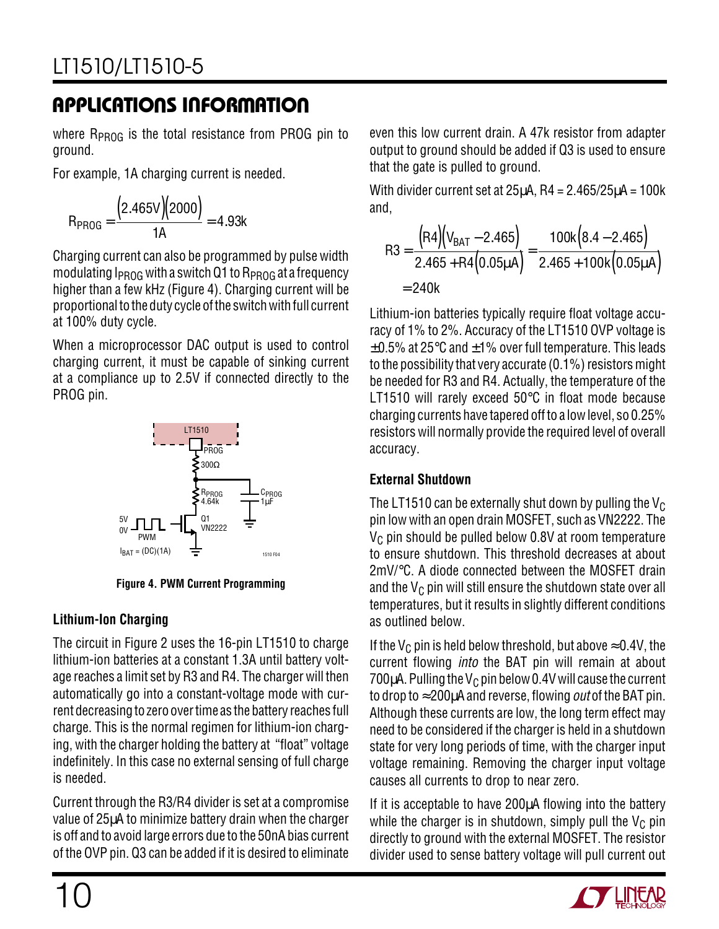where  $R_{PROG}$  is the total resistance from PROG pin to ground.

For example, 1A charging current is needed.

$$
R_{PROG} = \frac{(2.465V)(2000)}{1A} = 4.93k
$$

Charging current can also be programmed by pulse width modulating  $I_{PROG}$  with a switch Q1 to  $R_{PROG}$  at a frequency higher than a few kHz (Figure 4). Charging current will be proportional to the duty cycle of the switch with full current at 100% duty cycle.

When a microprocessor DAC output is used to control charging current, it must be capable of sinking current at a compliance up to 2.5V if connected directly to the PROG pin.



**Figure 4. PWM Current Programming**

### **Lithium-Ion Charging**

The circuit in Figure 2 uses the 16-pin LT1510 to charge lithium-ion batteries at a constant 1.3A until battery voltage reaches a limit set by R3 and R4. The charger will then automatically go into a constant-voltage mode with current decreasing to zero over time as the battery reaches full charge. This is the normal regimen for lithium-ion charging, with the charger holding the battery at "float" voltage indefinitely. In this case no external sensing of full charge is needed.

Current through the R3/R4 divider is set at a compromise value of 25µA to minimize battery drain when the charger is off and to avoid large errors due to the 50nA bias current of the OVP pin. Q3 can be added if it is desired to eliminate

even this low current drain. A 47k resistor from adapter output to ground should be added if Q3 is used to ensure that the gate is pulled to ground.

With divider current set at  $25\mu$ A, R4 =  $2.465/25\mu$ A =  $100\text{k}$ and,

$$
R3 = \frac{(R4)(V_{BAT} - 2.465)}{2.465 + R4(0.05\mu A)} = \frac{100k(8.4 - 2.465)}{2.465 + 100k(0.05\mu A)}
$$
  
= 240k

Lithium-ion batteries typically require float voltage accuracy of 1% to 2%. Accuracy of the LT1510 OVP voltage is  $\pm 0.5$ % at 25 $\degree$ C and  $\pm 1$ % over full temperature. This leads to the possibility that very accurate (0.1%) resistors might be needed for R3 and R4. Actually, the temperature of the LT1510 will rarely exceed 50°C in float mode because charging currents have tapered off to a low level, so 0.25% resistors will normally provide the required level of overall accuracy.

### **External Shutdown**

The LT1510 can be externally shut down by pulling the  $V_C$ pin low with an open drain MOSFET, such as VN2222. The  $V<sub>C</sub>$  pin should be pulled below 0.8V at room temperature to ensure shutdown. This threshold decreases at about 2mV/°C. A diode connected between the MOSFET drain and the  $V_C$  pin will still ensure the shutdown state over all temperatures, but it results in slightly different conditions as outlined below.

If the V<sub>C</sub> pin is held below threshold, but above  $\approx$  0.4V, the current flowing into the BAT pin will remain at about 700 $\mu$ A. Pulling the V<sub>C</sub> pin below 0.4V will cause the current to drop to  $\approx$  200 $\mu$ A and reverse, flowing *out* of the BAT pin. Although these currents are low, the long term effect may need to be considered if the charger is held in a shutdown state for very long periods of time, with the charger input voltage remaining. Removing the charger input voltage causes all currents to drop to near zero.

If it is acceptable to have 200µA flowing into the battery while the charger is in shutdown, simply pull the  $V_C$  pin directly to ground with the external MOSFET. The resistor divider used to sense battery voltage will pull current out

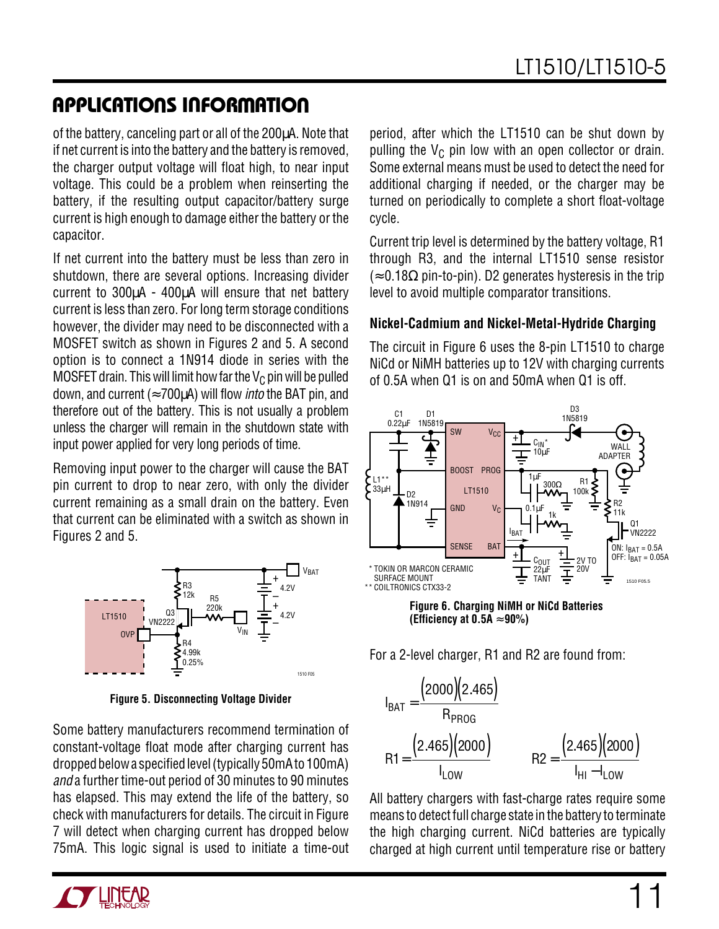of the battery, canceling part or all of the 200µA. Note that if net current is into the battery and the battery is removed, the charger output voltage will float high, to near input voltage. This could be a problem when reinserting the battery, if the resulting output capacitor/battery surge current is high enough to damage either the battery or the capacitor.

If net current into the battery must be less than zero in shutdown, there are several options. Increasing divider current to 300µA - 400µA will ensure that net battery current is less than zero. For long term storage conditions however, the divider may need to be disconnected with a MOSFET switch as shown in Figures 2 and 5. A second option is to connect a 1N914 diode in series with the MOSFET drain. This will limit how far the  $V_C$  pin will be pulled down, and current ( $\approx$  700 $\mu$ A) will flow *into* the BAT pin, and therefore out of the battery. This is not usually a problem unless the charger will remain in the shutdown state with input power applied for very long periods of time.

Removing input power to the charger will cause the BAT pin current to drop to near zero, with only the divider current remaining as a small drain on the battery. Even that current can be eliminated with a switch as shown in Figures 2 and 5.



**Figure 5. Disconnecting Voltage Divider**

Some battery manufacturers recommend termination of constant-voltage float mode after charging current has dropped below a specified level (typically 50mA to 100mA) and a further time-out period of 30 minutes to 90 minutes has elapsed. This may extend the life of the battery, so check with manufacturers for details. The circuit in Figure 7 will detect when charging current has dropped below 75mA. This logic signal is used to initiate a time-out period, after which the LT1510 can be shut down by pulling the  $V_C$  pin low with an open collector or drain. Some external means must be used to detect the need for additional charging if needed, or the charger may be turned on periodically to complete a short float-voltage cycle.

Current trip level is determined by the battery voltage, R1 through R3, and the internal LT1510 sense resistor  $\approx 0.18\Omega$  pin-to-pin). D2 generates hysteresis in the trip level to avoid multiple comparator transitions.

#### **Nickel-Cadmium and Nickel-Metal-Hydride Charging**

The circuit in Figure 6 uses the 8-pin LT1510 to charge NiCd or NiMH batteries up to 12V with charging currents of 0.5A when Q1 is on and 50mA when Q1 is off.



**Figure 6. Charging NiMH or NiCd Batteries (Efficiency at 0.5A** ≈ **90%)**

For a 2-level charger, R1 and R2 are found from:

$$
I_{BAT} = \frac{(2000)(2.465)}{R_{PROG}}
$$
  
R1 =  $\frac{(2.465)(2000)}{I_{LOW}}$  R2 =  $\frac{(2.465)(2000)}{I_{HI} - I_{LOW}}$ 

All battery chargers with fast-charge rates require some means to detect full charge state in the battery to terminate the high charging current. NiCd batteries are typically charged at high current until temperature rise or battery

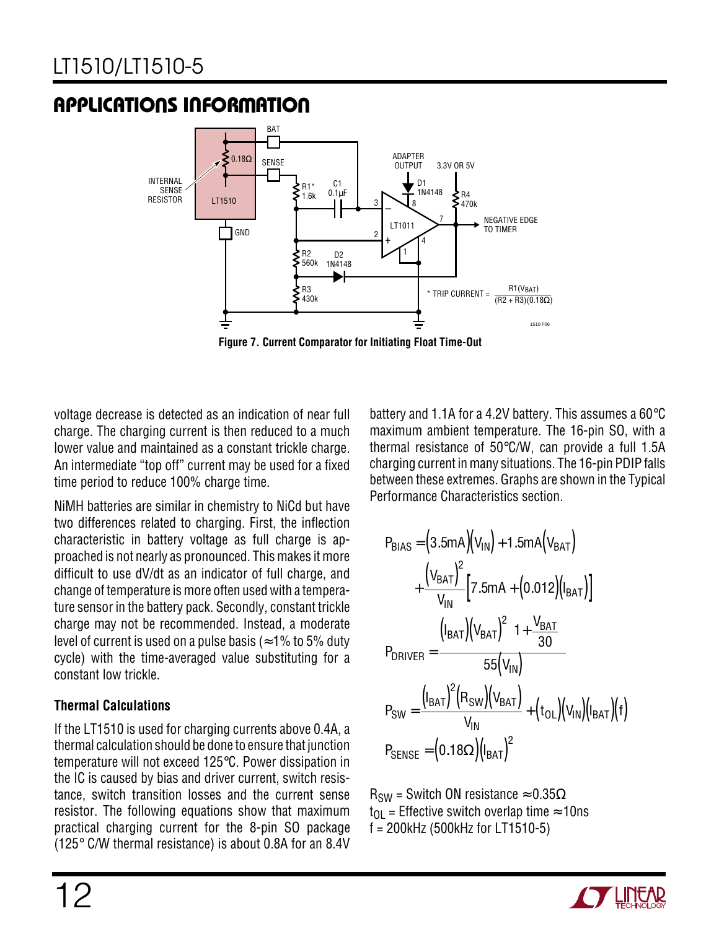

**Figure 7. Current Comparator for Initiating Float Time-Out**

voltage decrease is detected as an indication of near full charge. The charging current is then reduced to a much lower value and maintained as a constant trickle charge. An intermediate "top off" current may be used for a fixed time period to reduce 100% charge time.

NiMH batteries are similar in chemistry to NiCd but have two differences related to charging. First, the inflection characteristic in battery voltage as full charge is approached is not nearly as pronounced. This makes it more difficult to use dV/dt as an indicator of full charge, and change of temperature is more often used with a temperature sensor in the battery pack. Secondly, constant trickle charge may not be recommended. Instead, a moderate level of current is used on a pulse basis ( $\approx$  1% to 5% duty cycle) with the time-averaged value substituting for a constant low trickle.

### **Thermal Calculations**

If the LT1510 is used for charging currents above 0.4A, a thermal calculation should be done to ensure that junction temperature will not exceed 125°C. Power dissipation in the IC is caused by bias and driver current, switch resistance, switch transition losses and the current sense resistor. The following equations show that maximum practical charging current for the 8-pin SO package (125° C/W thermal resistance) is about 0.8A for an 8.4V

battery and 1.1A for a 4.2V battery. This assumes a 60°C maximum ambient temperature. The 16-pin SO, with a thermal resistance of 50°C/W, can provide a full 1.5A charging current in many situations. The 16-pin PDIP falls between these extremes. Graphs are shown in the Typical Performance Characteristics section.

$$
P_{BIAS} = (3.5mA)(V_{IN}) + 1.5mA(V_{BAT})
$$
  
+ 
$$
\frac{(V_{BAT})^2}{V_{IN}} [7.5mA + (0.012)(I_{BAT})]
$$
  

$$
P_{DRIVER} = \frac{(I_{BAT})(V_{BAT})^2 (1 + \frac{V_{BAT}}{30})}{55(V_{IN})}
$$
  

$$
P_{SW} = \frac{(I_{BAT})^2 (R_{SW})(V_{BAT})}{V_{IN}} + (t_{OL})(V_{IN})(I_{BAT})(f)
$$
  

$$
P_{SENSE} = (0.18\Omega)(I_{BAT})^2
$$

 $R_{SW}$  = Switch ON resistance  $\approx 0.35\Omega$  $t_{\text{O}}$  = Effective switch overlap time  $\approx 10$ ns f = 200kHz (500kHz for LT1510-5)

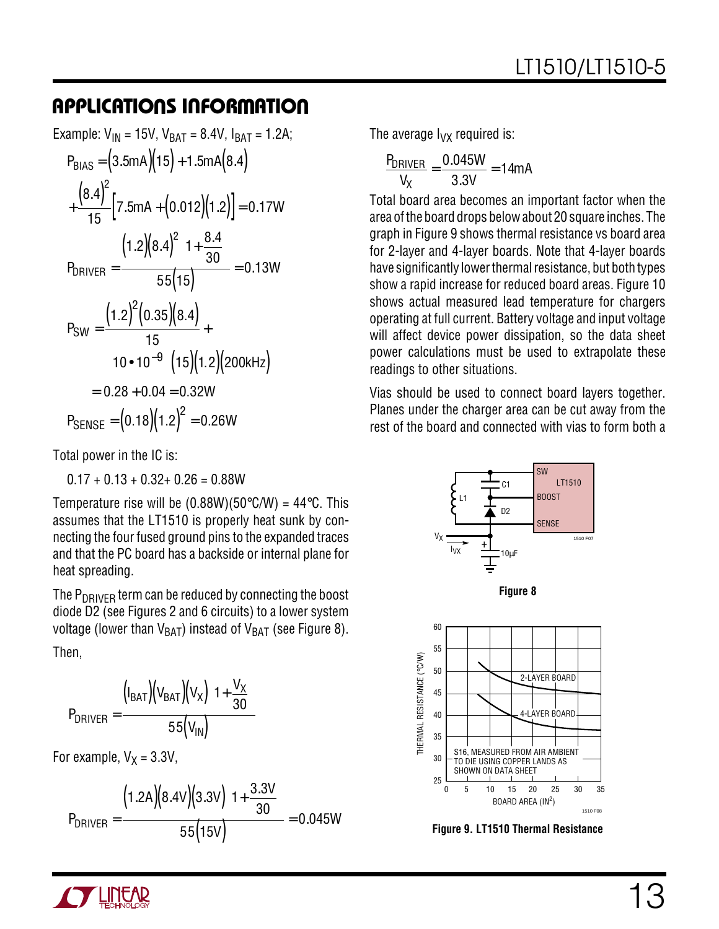Example: V<sub>IN</sub> = 15V, V<sub>BAT</sub> = 8.4V, I<sub>BAT</sub> = 1.2A;  
\nP<sub>BIAS</sub> = (3.5mA)(15) + 1.5mA(8.4)  
\n
$$
+\frac{(8.4)^{2}}{15} [7.5mA + (0.012)(1.2)] = 0.17W
$$
\nP<sub>DRIVER</sub> = 
$$
\frac{(1.2)(8.4)^{2}(1 + \frac{8.4}{30})}{55(15)} = 0.13W
$$
\nP<sub>SW</sub> = 
$$
\frac{(1.2)^{2}(0.35)(8.4)}{15} +
$$
\n
$$
(10 \cdot 10^{-9})(15)(1.2)(200kHz)
$$
\n= 0.28 + 0.04 = 0.32W  
\nP<sub>SENSE</sub> = (0.18)(1.2)<sup>2</sup> = 0.26W

Total power in the IC is:

 $0.17 + 0.13 + 0.32 + 0.26 = 0.88W$ 

Temperature rise will be  $(0.88W)(50^{\circ}$ C/W) = 44 $^{\circ}$ C. This assumes that the LT1510 is properly heat sunk by connecting the four fused ground pins to the expanded traces and that the PC board has a backside or internal plane for heat spreading.

The  $P_{DRIVFR}$  term can be reduced by connecting the boost diode D2 (see Figures 2 and 6 circuits) to a lower system voltage (lower than  $V_{BAT}$ ) instead of  $V_{BAT}$  (see Figure 8).

Then,

$$
P_{DRIVER} = \frac{(I_{BAT})(V_{BAT})(V_X)(1+\frac{V_X}{30})}{55(V_{IN})}
$$

For example,  $V_X = 3.3V$ ,

$$
P_{DRIVER} = \frac{(1.2A)(8.4V)(3.3V)(1 + \frac{3.3V}{30})}{55(15V)} = 0.045W
$$

The average  $I_{VX}$  required is:

$$
\frac{P_{DRIVER}}{V_X} = \frac{0.045W}{3.3V} = 14mA
$$

Total board area becomes an important factor when the area of the board drops below about 20 square inches. The graph in Figure 9 shows thermal resistance vs board area for 2-layer and 4-layer boards. Note that 4-layer boards have significantly lower thermal resistance, but both types show a rapid increase for reduced board areas. Figure 10 shows actual measured lead temperature for chargers operating at full current. Battery voltage and input voltage will affect device power dissipation, so the data sheet power calculations must be used to extrapolate these readings to other situations.

Vias should be used to connect board layers together. Planes under the charger area can be cut away from the rest of the board and connected with vias to form both a



**Figure 9. LT1510 Thermal Resistance**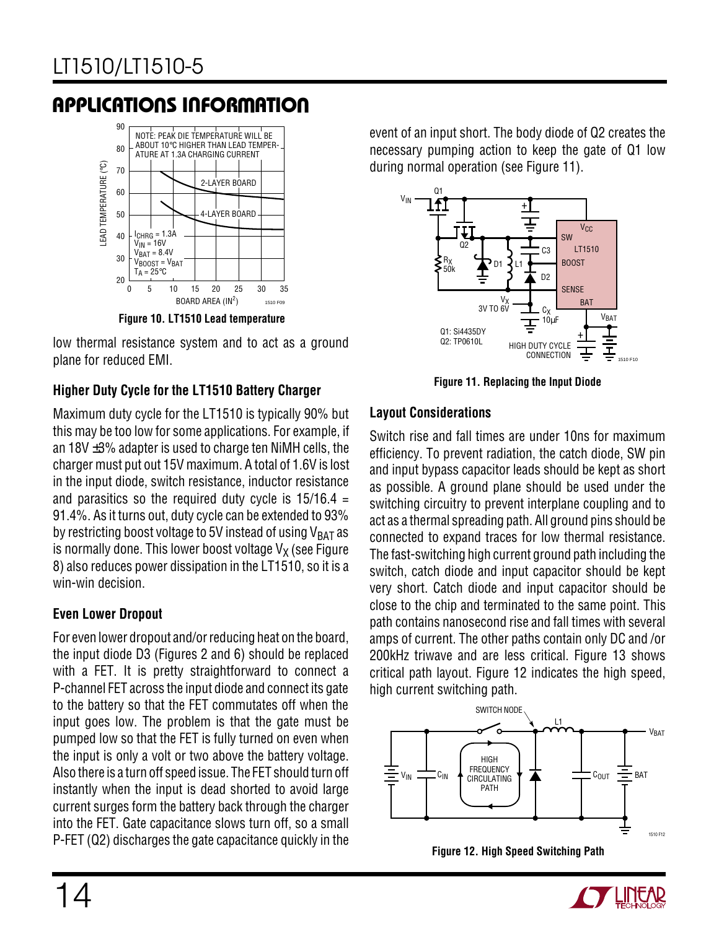

**Figure 10. LT1510 Lead temperature**

low thermal resistance system and to act as a ground plane for reduced EMI.

#### **Higher Duty Cycle for the LT1510 Battery Charger**

Maximum duty cycle for the LT1510 is typically 90% but this may be too low for some applications. For example, if an  $18V \pm 3\%$  adapter is used to charge ten NiMH cells, the charger must put out 15V maximum. A total of 1.6V is lost in the input diode, switch resistance, inductor resistance and parasitics so the required duty cycle is  $15/16.4$  = 91.4%. As it turns out, duty cycle can be extended to 93% by restricting boost voltage to 5V instead of using  $V<sub>BAT</sub>$  as is normally done. This lower boost voltage  $V<sub>X</sub>$  (see Figure 8) also reduces power dissipation in the LT1510, so it is a win-win decision.

#### **Even Lower Dropout**

For even lower dropout and/or reducing heat on the board, the input diode D3 (Figures 2 and 6) should be replaced with a FET. It is pretty straightforward to connect a P-channel FET across the input diode and connect its gate to the battery so that the FET commutates off when the input goes low. The problem is that the gate must be pumped low so that the FET is fully turned on even when the input is only a volt or two above the battery voltage. Also there is a turn off speed issue. The FET should turn off instantly when the input is dead shorted to avoid large current surges form the battery back through the charger into the FET. Gate capacitance slows turn off, so a small P-FET (Q2) discharges the gate capacitance quickly in the

event of an input short. The body diode of Q2 creates the necessary pumping action to keep the gate of Q1 low during normal operation (see Figure 11).



**Figure 11. Replacing the Input Diode**

#### **Layout Considerations**

Switch rise and fall times are under 10ns for maximum efficiency. To prevent radiation, the catch diode, SW pin and input bypass capacitor leads should be kept as short as possible. A ground plane should be used under the switching circuitry to prevent interplane coupling and to act as a thermal spreading path. All ground pins should be connected to expand traces for low thermal resistance. The fast-switching high current ground path including the switch, catch diode and input capacitor should be kept very short. Catch diode and input capacitor should be close to the chip and terminated to the same point. This path contains nanosecond rise and fall times with several amps of current. The other paths contain only DC and /or 200kHz triwave and are less critical. Figure 13 shows critical path layout. Figure 12 indicates the high speed, high current switching path.





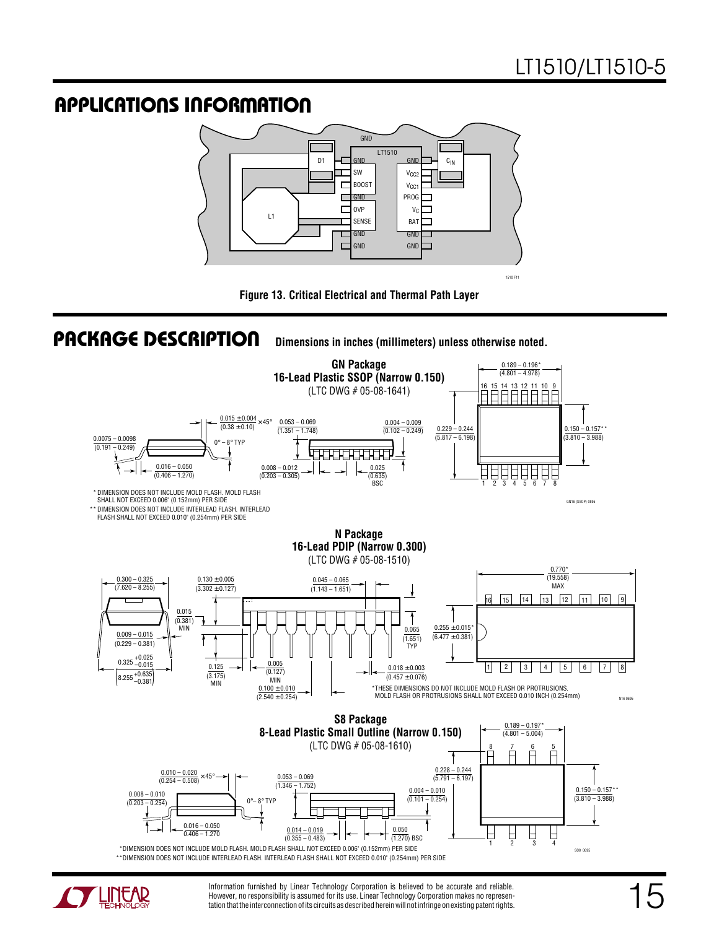







Information furnished by Linear Technology Corporation is believed to be accurate and reliable. However, no responsibility is assumed for its use. Linear Technology Corporation makes no representation that the interconnection of its circuits as described herein will not infringe on existing patent rights.